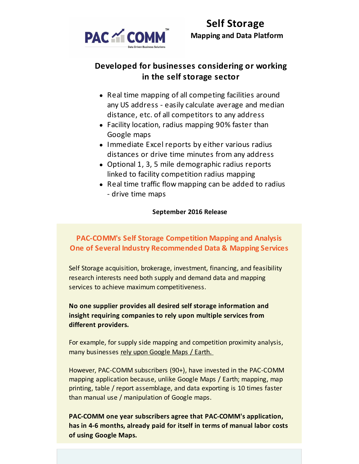

# **Developed for businesses considering or working in the self storage sector**

- Real time mapping of all competing facilities around any US address - easily calculate average and median distance, etc. of all competitors to any address
- Facility location, radius mapping 90% faster than Google maps
- Immediate Excel reports by either various radius distances or drive time minutes from any address
- Optional 1, 3, 5 mile demographic radius reports linked to facility competition radius mapping
- Real time traffic flow mapping can be added to radius - drive time maps

## **September 2016 Release**

# **PAC-COMM's Self Storage Competition Mapping and Analysis One of Several Industry Recommended Data & Mapping Services**

Self Storage acquisition, brokerage, investment, financing, and feasibility research interests need both supply and demand data and mapping services to achieve maximum competitiveness.

**No one supplier provides all desired self storage information and insight requiring companies to rely upon multiple services from different providers.**

For example, for supply side mapping and competition proximity analysis, many businesses rely upon Google Maps / Earth.

However, PAC-COMM subscribers (90+), have invested in the PAC-COMM mapping application because, unlike Google Maps / Earth; mapping, map printing, table / report assemblage, and data exporting is 10 times faster than manual use / manipulation of Google maps.

**PAC-COMM one year subscribers agree that PAC-COMM's application, has in 4-6 months, already paid for itself in terms of manual labor costs of using Google Maps.**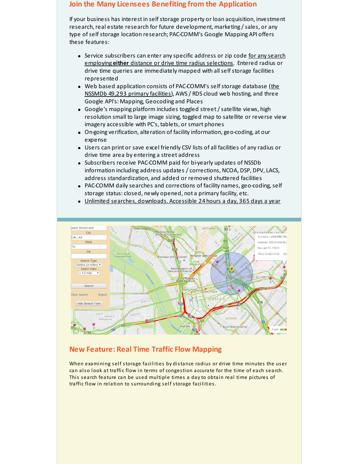#### **Join the Many Licensees Benefiting from the Application**

If your business has interest in self storage property or loan acquisition, investment research, real estate research for future development, marketing / sales, or any type of self storage location research; PAC-COMM's Google Mapping API offers these features:

- Service subscribers can enter any specific address or zip code for any search employing **either** distance or drive time radius selections. Entered radius or drive time queries are immediately mapped with all self storage facilities represented
- Web based application consists of PAC-COMM's self storage database (the NSSMDb 49,293 primary facilities), AWS / RDS cloud web hosting, and three Google API's: Mapping, Geocoding and Places
- Google's mapping platform includes toggled street/satellite views, high resolution small to large image sizing, toggled map to satellite or reverse view imagery accessible with PC's, tablets, or smart phones
- On-going verification, alteration of facility information, geo-coding, at our expense
- Users can print or save excel friendly CSV lists of all facilities of any radius or drive time area by entering a street address
- Subscribers receive PAC-COMM paid for bi-yearly updates of NSSDb information including address updates / corrections, NCOA, DSP, DPV, LACS, address standardization, and added or removed shuttered facilities
- PAC-COMM daily searches and corrections of facility names, geo-coding, self storage status: closed, newly opened, not a primary facility, etc.
- Unlimited searches, downloads. Accessible 24 hours a day, 365 days a year



#### **New Feature: Real Time Traffic Flow Mapping**

When examining self storage facilities by distance radius or drive time minutes the user can also look at traffic flow in terms of congestion accurate for the time of each search. This search feature can be used multiple times a day to obtain real time pictures of traffic flow in relation to surrounding self storage facilities.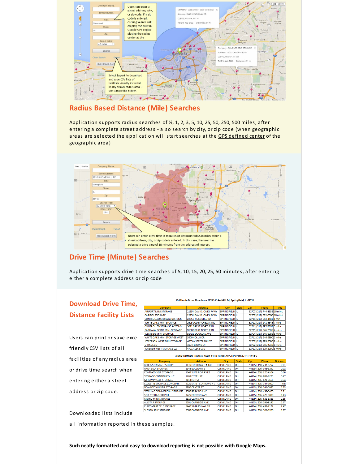

#### **Radius Based Distance (Mile) Searches**

Application supports radius searches of  $\frac{1}{2}$ , 1, 2, 3, 5, 10, 25, 50, 250, 500 miles, after entering a complete street address - also search by city, or zip code (when geographic areas are selected the application will start searches at the GPS defined center of the geographic area)



## **Drive Time (Minute) Searches**

Application supports drive time searches of 5, 10, 15, 20, 25, 50 minutes, after entering either a complete address or zip code

lw

## **Download Drive Time, Distance Facility Lists**

Users can print or save excel friendly CSV lists of all facilities of any radius area or drive time search when entering either a street address or zip code.

10 Minute Drive Time from 2235 S Koke Mill Rd, Springfield, IL 62711

| Company                                        | <b>Address</b>               | City                   | <b>State</b> | Zip | Phone                             | Time. |
|------------------------------------------------|------------------------------|------------------------|--------------|-----|-----------------------------------|-------|
| <b>RPORT MINI STORAGE</b>                      | 2195 J DAVID JONES PKWY      | <b>SPRINGFIELD IL</b>  |              |     | 62707 (217) 744-8333 10 mins      |       |
| <b>PITOL STORAGE</b>                           | 2225J DAVID JONES PKWY       | <b>SPRINGFIELD IL</b>  |              |     | 62707 (217) 522-0300 10 mins      |       |
| <b><i><u>DNTROLLED STORAGE SYSTEMS</u></i></b> | 2235 S KOKE MILL RD          | <b>SPRINGFIELD IL</b>  |              |     | 62711 (217) 953-4481 1 min        |       |
| <b>HITE OAKS MIN I STORAGE</b>                 | <b>2605 OLD BACHELOR TRL</b> | <b>SPRINGFIELD IL</b>  |              |     | 62711 (217) 241-5345 7 mins       |       |
| <b><i>NTROLLED STORAGE SYSTEMS</i></b>         | <b>3012 GREAT NORTHERN</b>   | <b>SPRINGFIELD IL</b>  |              |     | 62711 (217) 787-7707 5 mins       |       |
| <b>RKWAY POINT MINI-STORAGE</b>                | <b>3108 GREAT NORTHERN</b>   | <b>SPRINGFIELD IL</b>  |              |     | 62711 (217) 546-7505 4 mins       |       |
| <b>ESTSIDE MINI STORAGE</b>                    | 3142 S DOUGLAS AVE           | <b>SPRINGFIELD IL</b>  |              |     | 62704 (217) 546-6986 8 mins       |       |
| HITE OAKS MIN I STORAGE WEST                   | 3500 HOLLIS DR               | <b>SPRINGFIELD IL</b>  |              |     | 62711 (217) 546-5990 3 mins       |       |
| FFERSON WEST MIN I STORAGE                     | 4055 W JEFFERSON ST          | <b>SPRINGFIELD IL</b>  |              |     | 62707 (217) 793-5080 9 mins       |       |
| HAUL CO                                        | <b>410N BRUNS LN</b>         | <b>SPRINGFIELDILL</b>  |              |     | 62702 (217) 546-2730 8 mins       |       |
| ARACHIMEST STORAGE U.C.                        | 4701 ALEV BIVD               | <b>CODINICEIEI DUI</b> |              |     | <b>62711 (217) 670-2200 Emine</b> |       |

3 Mile Distance (radius) from 1130 Euclid Ave, Cleveland, OH 44115

| Company                           | <b>Address</b>          | City             | <b>State</b> | Zip | Phone                | <b>Distance</b> |
|-----------------------------------|-------------------------|------------------|--------------|-----|----------------------|-----------------|
| <b>BEREA STORAGE FACILITY</b>     | 1110 EUCLID AVE #300    | <b>CLEVELAND</b> | OH           |     | 44115 (440) 234-5252 | 0.01            |
| REA SELF STORAGE                  | 1148 EUCLID AVE         | <b>CLEVELAND</b> | OH           |     | 44115 (216) 348-6292 | 0.02            |
| <b>COMPASS SELF STORAGE</b>       | 1549 SUPERIOR AVE E     | <b>CLEVELAND</b> | OH           |     | 44114 (216) 220-4104 | 0.36            |
| <b>TORAGE CONTINUITY LLC</b>      | 1768 E 25TH ST          | <b>CLEVELAND</b> | OH           |     | 44114 (216) 881-8275 | 0.77            |
| <b>SATEWAY SELF STORAGE</b>       | <b>211 HIGH ST</b>      | <b>CLEVELAND</b> | OH           |     | 44115 (216) 621-0666 | 0.34            |
| LOSET N STORAGE CONCEPTS          | 2325 SAINT CLAIR AVE NE | <b>CLEVELAND</b> | OH           |     | 44114 (216) 344-3000 | 0.8             |
| <b>OOWNTOWN SELF STORAGE</b>      | 2390 CENTER ST          | <b>CLEVELAND</b> | OH           |     | 44113 (216) 241-0967 | 1.23            |
| <b>TERLING COMMERCIAL STORAGE</b> | <b>3600 PERKINS AVE</b> | <b>CLEVELAND</b> | OH           |     | 44114 (216) 432-0460 | 1.21            |
| <b>ELF STORAGE DEPOT</b>          | <b>3725 CROTON AVE</b>  | <b>CLEVELAND</b> | OH           |     | 44115 (216) 426-3000 | 1.43            |
| <b>JETRO MINI STORAGE</b>         | <b>3815 CLARK AVE</b>   | <b>CLEVELAND</b> | OH           |     | 44109 (216) 631-6333 | 2.55            |
| <b>ILLSTAR STORAGE</b>            | 5201 CARNEGIE AVE       | <b>CLEVELAND</b> | OH           |     | 44103 (216) 391-9191 | 1.67            |
| UBESMART SELF STORAGE             | 5440 S MARGINAL RD      | <b>CLEVELAND</b> | OH           |     | 44114 (216) 432-2122 | 2.47            |
| <b>USSEN SELF STORAGE</b>         | 6000 CARNEGIE AVE       | <b>CLEVELAND</b> | OH           |     | 44103 (216) 361-1200 | 1.87            |
|                                   |                         |                  |              |     |                      |                 |

Downloaded lists include

all information reported in these samples.

**Such neatly formatted and easy to download reporting is not possible with Google Maps.**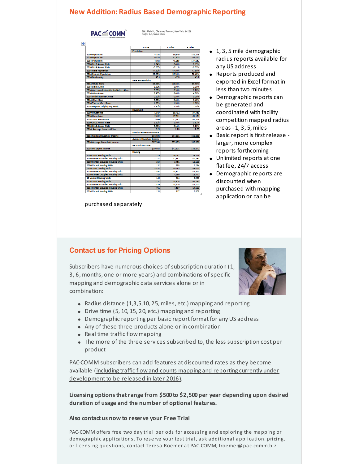# **New Addition: Radius Based Demographic Reporting**

**PAC "COMM"** 

8161 Main St, Clarence, Town of, New York, 14221<br>Rings: 1, 3, 5 mile radii

|                                          | 1 mile                          | 3 miles  | 5 miles  |
|------------------------------------------|---------------------------------|----------|----------|
|                                          | Population                      |          |          |
| 2000 Population                          | 4.168                           | 39.649   | 145,276  |
| 2010 Population                          | 4.855                           | 41,603   | 148,070  |
| 2014 Population                          | 4,803                           | 44.355   | 147,853  |
| 2000-2010 Annual Rate                    | 1.54%                           | 0.48%    | 0.19%    |
| 2010-2014 Annual Rate                    | -0.20%                          | 414496   | $-0.03%$ |
| 2014 Male Population                     | 47.80%                          | 47.10%   | 47.60%   |
| <b>2014 Female Population</b>            | 52,20%                          | 52.90%   | 52,40%   |
| 2014 Median Age                          | 45.9                            | 47.8     | 45.2     |
|                                          | <b>Race and Ethnicity</b>       |          |          |
| 2014 White Alone                         | 88.00%                          | 88.60%   | 89.70%   |
| 2014 Black Alone                         | 3.30%                           | 2.90%    | 3.30%    |
| 2014 American Indian/Alaska Native Alone | 0.20%                           | 0.10%    | 0.20%    |
| 2014 Asian Alone                         | 6.40%                           | 6.40%    | 4.80%    |
| 2014 Pacific Islander Alone              | 0.10%                           | 0.10%    | a no x.  |
| 2014 Other Race                          | 0.50%                           | 0.40%    | 0.40%    |
| 2014 Two or More Races                   | 1.50%                           | 1,60%    | 1,60%    |
| 2014 Hispanic Origin (Any Race)          | 2.60%                           | 2.10%    | 2.10%    |
|                                          | <b>Households</b>               |          |          |
| 2000 Households                          | 1.587                           | 15.782   | 57.459   |
| 2010 Housebolds                          | 2.092                           | 17,611   | 61.121   |
| 2014 Total Housebolds                    | 2.099                           | 17,737   | 61.753   |
| 2000-2010 Annual Rate                    | 2.80%                           | 1.10%    | 0.62%    |
| 2010-2014 Annual Rate                    | 0.06%                           | 0.14%    | 0.20%    |
| 2014 Average Household Size              | 225                             | 2.28     | 235      |
|                                          | Median Household Income         |          |          |
| 2014 Median Household Income             | \$66,056                        | \$74,391 | \$66.291 |
|                                          | <b>Average Household Income</b> |          |          |
| 2014 Average Household Income            | \$87,543                        | \$99,183 | \$92,306 |
|                                          | Per Capita Income               |          |          |
| 2014 Per Capita Income                   | \$39,086                        | \$42,801 | \$38,872 |
|                                          | Housing                         |          |          |
| <b>2000 Total Housing Units</b>          | 1,719                           | 16,581   | 59,723   |
| 2000 Owner Occupied Housing Units        | 1.222                           | 12,332   | 45.291   |
| 2000 Renter Occupied Housing Units       | 365                             | 3.451    | 12.168   |
| 2000 Vacant Housing Units                | 132                             | 798      | 2.264    |
| 2010 Total Housing Units                 | 2.232                           | 18.525   | 64.051   |
| 2010 Owner Occupied Housing Units        | 1.367                           | 13,342   | 47344    |
| 2010 Renter Occupied Housing Units       | 725                             | 4,269    | 13.777   |
| 10 Vacant Housing Units                  | 140                             | 914      | 2.930    |
| 2014 Total Housing Units                 | 2.232                           | 18.654   | 64.562   |
| 2014 Owner Occupied Housing Units        | 1339                            | 13,220   | 47.150   |
| 2014 Renter Occupied Housing Units       | 761                             | 4,517    | 14,603   |

purchased separately

- 1, 3, 5 mile demographic radius reports available for any US address
- Reports produced and exported in Excel format in less than two minutes
- Demographic reports can be generated and coordinated with facility competition mapped radius areas -1, 3, 5, miles
- Basic report is firstrelease larger, more complex reports forthcoming
- Unlimited reports at one flat fee, 24/7 access
- Demographic reports are discounted when purchased with mapping application or can be

## **Contact us for Pricing Options**

Subscribers have numerous choices of subscription duration (1, 3, 6, months, one or more years) and combinations of specific mapping and demographic data services alone or in combination:



- Radius distance (1,3,5,10, 25, miles, etc.) mapping and reporting
- Drive time (5, 10, 15, 20, etc.) mapping and reporting
- Demographic reporting per basic report format for any US address
- Any of these three products alone or in combination
- $\bullet$  Real time traffic flow mapping
- The more of the three services subscribed to, the less subscription cost per product

PAC-COMM subscribers can add features at discounted rates as they become available (including traffic flow and counts mapping and reporting currently under development to be released in later 2016).

**Licensing optionsthatrange from \$500 to \$2,500 per year depending upon desired duration of usage and the number of optional features.**

#### **Also contact us now to reserve your Free Trial**

PAC-COMM offers free two day trial periods for accessing and exploring the mapping or demographic applications. To reserve your test trial, ask additional application. pricing, or licensing questions, contact Teresa Roemer at PAC-COMM, troemer@pac-comm.biz.